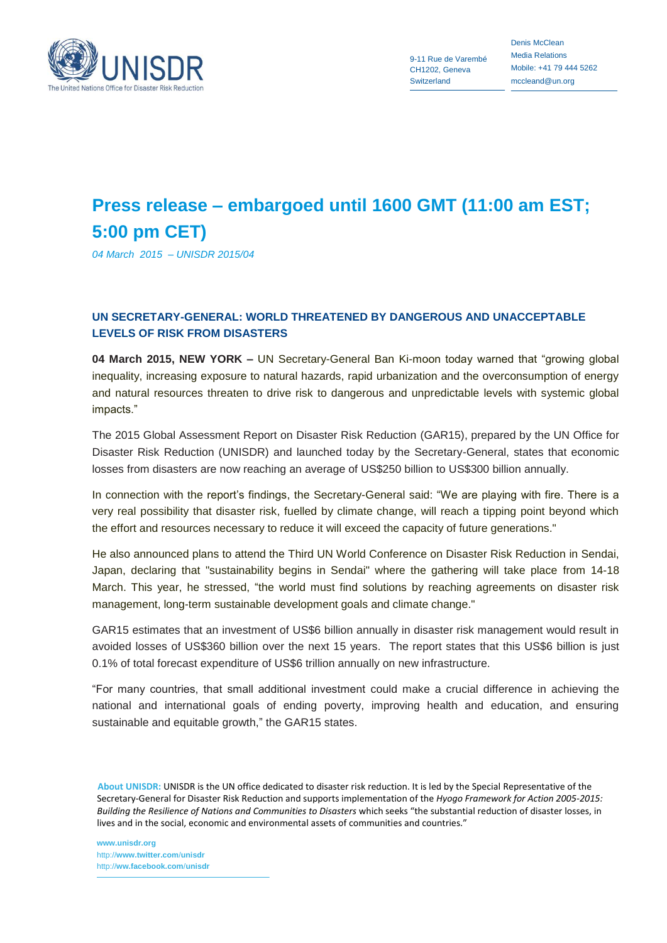

9-11 Rue de Varembé CH1202, Geneva **Switzerland** 

Denis McClean Media Relations Mobile: +41 79 444 5262 mccleand@un.org

## **Press release – embargoed until 1600 GMT (11:00 am EST; 5:00 pm CET)**

*04 March 2015 – UNISDR 2015/04*

## **UN SECRETARY-GENERAL: WORLD THREATENED BY DANGEROUS AND UNACCEPTABLE LEVELS OF RISK FROM DISASTERS**

**04 March 2015, NEW YORK –** UN Secretary-General Ban Ki-moon today warned that "growing global inequality, increasing exposure to natural hazards, rapid urbanization and the overconsumption of energy and natural resources threaten to drive risk to dangerous and unpredictable levels with systemic global impacts."

The 2015 Global Assessment Report on Disaster Risk Reduction (GAR15), prepared by the UN Office for Disaster Risk Reduction (UNISDR) and launched today by the Secretary-General, states that economic losses from disasters are now reaching an average of US\$250 billion to US\$300 billion annually.

In connection with the report's findings, the Secretary-General said: "We are playing with fire. There is a very real possibility that disaster risk, fuelled by climate change, will reach a tipping point beyond which the effort and resources necessary to reduce it will exceed the capacity of future generations."

He also announced plans to attend the Third UN World Conference on Disaster Risk Reduction in Sendai, Japan, declaring that "sustainability begins in Sendai" where the gathering will take place from 14-18 March. This year, he stressed, "the world must find solutions by reaching agreements on disaster risk management, long-term sustainable development goals and climate change."

GAR15 estimates that an investment of US\$6 billion annually in disaster risk management would result in avoided losses of US\$360 billion over the next 15 years. The report states that this US\$6 billion is just 0.1% of total forecast expenditure of US\$6 trillion annually on new infrastructure.

"For many countries, that small additional investment could make a crucial difference in achieving the national and international goals of ending poverty, improving health and education, and ensuring sustainable and equitable growth," the GAR15 states.

 **About UNISDR:** UNISDR is the UN office dedicated to disaster risk reduction. It is led by the Special Representative of the Secretary-General for Disaster Risk Reduction and supports implementation of the *Hyogo Framework for Action 2005-2015: Building the Resilience of Nations and Communities to Disasters* which seeks "the substantial reduction of disaster losses, in lives and in the social, economic and environmental assets of communities and countries."

**www.unisdr.org** http://**www.twitter.com**/**unisdr** http://**ww.facebook.com**/**unisdr**